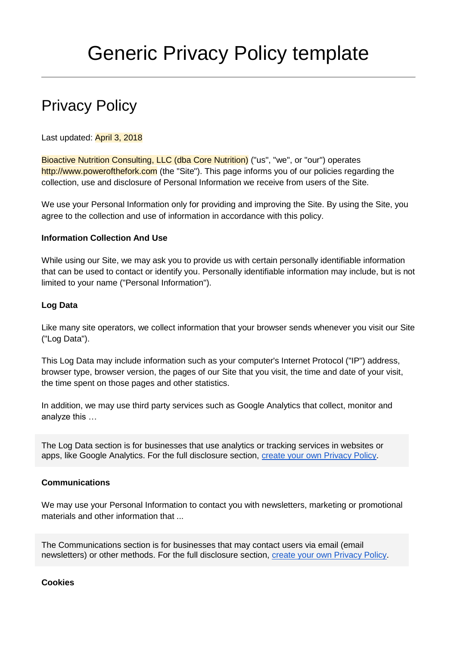# Privacy Policy

Last updated: April 3, 2018

Bioactive Nutrition Consulting, LLC (dba Core Nutrition) ("us", "we", or "our") operates http://www.powerofthefork.com (the "Site"). This page informs you of our policies regarding the collection, use and disclosure of Personal Information we receive from users of the Site.

We use your Personal Information only for providing and improving the Site. By using the Site, you agree to the collection and use of information in accordance with this policy.

## **Information Collection And Use**

While using our Site, we may ask you to provide us with certain personally identifiable information that can be used to contact or identify you. Personally identifiable information may include, but is not limited to your name ("Personal Information").

## **Log Data**

Like many site operators, we collect information that your browser sends whenever you visit our Site ("Log Data").

This Log Data may include information such as your computer's Internet Protocol ("IP") address, browser type, browser version, the pages of our Site that you visit, the time and date of your visit, the time spent on those pages and other statistics.

In addition, we may use third party services such as Google Analytics that collect, monitor and analyze this …

The Log Data section is for businesses that use analytics or tracking services in websites or apps, like Google Analytics. For the full disclosure section, [create your own Privacy Policy.](https://termsfeed.com/privacy-policy/generator/?utm_source=Generic&utm_medium=DOCX&utm_campaign=Privacy+Policy+Templates&utm_nooverride=1)

#### **Communications**

We may use your Personal Information to contact you with newsletters, marketing or promotional materials and other information that ...

The Communications section is for businesses that may contact users via email (email newsletters) or other methods. For the full disclosure section, [create your own Privacy Policy.](https://termsfeed.com/privacy-policy/generator/?utm_source=Generic&utm_medium=DOCX&utm_campaign=Privacy+Policy+Templates&utm_nooverride=1)

**Cookies**